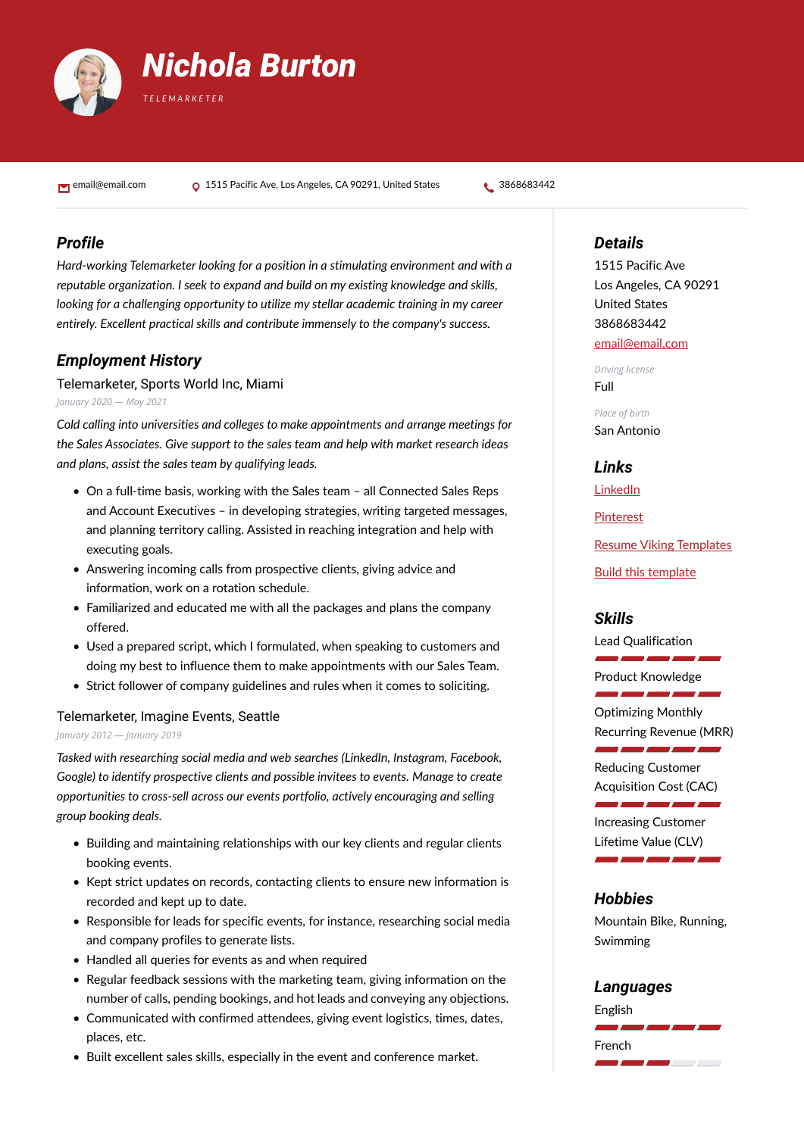

email@email.com **Q** 1515 Pacific Ave, Los Angeles, CA 90291, United States **t** 3868683442

# *Profile*

*Hard-working Telemarketer looking for a position in a stimulating environment and with a reputable organization. I seek to expand and build on my existing knowledge and skills, looking for a challenging opportunity to utilize my stellar academic training in my career entirely. Excellent practical skills and contribute immensely to the company's success.*

# *Employment History*

Telemarketer, Sports World Inc, Miami *January 2020 — May 2021*

*Cold calling into universities and colleges to make appointments and arrange meetings for the Sales Associates. Give support to the sales team and help with market research ideas and plans, assist the sales team by qualifying leads.*

- On a full-time basis, working with the Sales team all Connected Sales Reps and Account Executives – in developing strategies, writing targeted messages, and planning territory calling. Assisted in reaching integration and help with executing goals.
- Answering incoming calls from prospective clients, giving advice and information, work on a rotation schedule.
- Familiarized and educated me with all the packages and plans the company offered.
- Used a prepared script, which I formulated, when speaking to customers and doing my best to influence them to make appointments with our Sales Team.
- Strict follower of company guidelines and rules when it comes to soliciting.

#### Telemarketer, Imagine Events, Seattle

#### *January 2012 — January 2019*

*Tasked with researching social media and web searches (LinkedIn, Instagram, Facebook, Google) to identify prospective clients and possible invitees to events. Manage to create opportunities to cross-sell across our events portfolio, actively encouraging and selling group booking deals.*

- Building and maintaining relationships with our key clients and regular clients booking events.
- Kept strict updates on records, contacting clients to ensure new information is recorded and kept up to date.
- Responsible for leads for specific events, for instance, researching social media and company profiles to generate lists.
- Handled all queries for events as and when required
- Regular feedback sessions with the marketing team, giving information on the number of calls, pending bookings, and hot leads and conveying any objections.
- Communicated with confirmed attendees, giving event logistics, times, dates, places, etc.
- Built excellent sales skills, especially in the event and conference market.

## *Details*

1515 Pacific Ave Los Angeles, CA 90291 United States 3868683442 [email@email.com](mailto:email@email.com)

*Driving license* Full

*Place of birth* San Antonio

*Links*

[LinkedIn](https://www.linkedin.com/)

[Pinterest](https://www.pinterest.es/resumeviking/)

[Resume Viking Templates](https://www.resumeviking.com/templates/word/)

[Build this template](https://resume.io/?id=cpdokyF1)

## *Skills*

Lead Qualification i and and a

---

Product Knowledge

Optimizing Monthly Recurring Revenue (MRR)

 $\overline{\phantom{a}}$ 

Reducing Customer Acquisition Cost (CAC)

i ani ani an

 $\overline{\phantom{a}}$ 

Increasing Customer Lifetime Value (CLV)

#### *Hobbies*

Mountain Bike, Running, Swimming

#### *Languages*